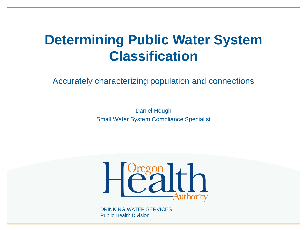#### **Determining Public Water System Classification**

Accurately characterizing population and connections

Daniel Hough Small Water System Compliance Specialist

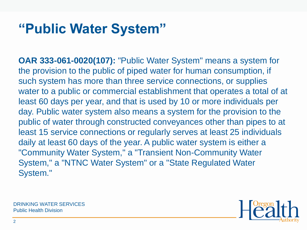#### **"Public Water System"**

**OAR 333-061-0020(107):** "Public Water System" means a system for the provision to the public of piped water for human consumption, if such system has more than three service connections, or supplies water to a public or commercial establishment that operates a total of at least 60 days per year, and that is used by 10 or more individuals per day. Public water system also means a system for the provision to the public of water through constructed conveyances other than pipes to at least 15 service connections or regularly serves at least 25 individuals daily at least 60 days of the year. A public water system is either a "Community Water System," a "Transient Non-Community Water System," a "NTNC Water System" or a "State Regulated Water System."



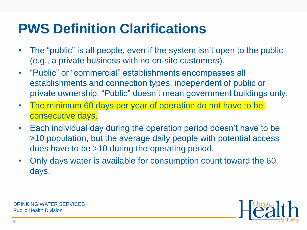### **PWS Definition Clarifications**

- The "public" is all people, even if the system isn't open to the public (e.g., a private business with no on-site customers).
- "Public" or "commercial" establishments encompasses all establishments and connection types, independent of public or private ownership. "Public" doesn't mean government buildings only.
- The minimum 60 days per year of operation do not have to be consecutive days.
- Each individual day during the operation period doesn't have to be >10 population, but the average daily people with potential access does have to be >10 during the operating period.
- Only days water is available for consumption count toward the 60 days.



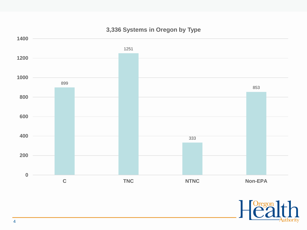

#### **3,336 Systems in Oregon by Type**

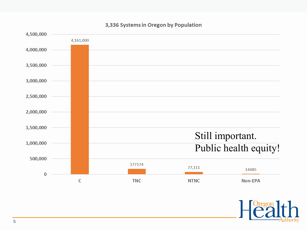

#### 3,336 Systems in Oregon by Population

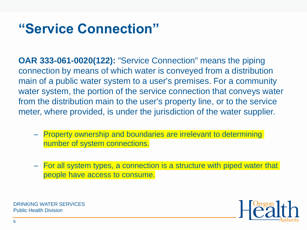#### **"Service Connection"**

**OAR 333-061-0020(122):** "Service Connection" means the piping connection by means of which water is conveyed from a distribution main of a public water system to a user's premises. For a community water system, the portion of the service connection that conveys water from the distribution main to the user's property line, or to the service meter, where provided, is under the jurisdiction of the water supplier.

- Property ownership and boundaries are irrelevant to determining number of system connections.
- For all system types, a connection is a structure with piped water that people have access to consume.

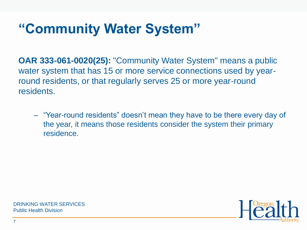# **"Community Water System"**

**OAR 333-061-0020(25):** "Community Water System" means a public water system that has 15 or more service connections used by yearround residents, or that regularly serves 25 or more year-round residents.

– "Year-round residents" doesn't mean they have to be there every day of the year, it means those residents consider the system their primary residence.

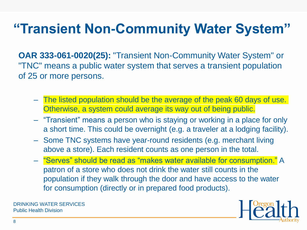# **"Transient Non-Community Water System"**

**OAR 333-061-0020(25):** "Transient Non-Community Water System" or "TNC" means a public water system that serves a transient population of 25 or more persons.

- The listed population should be the average of the peak 60 days of use. Otherwise, a system could average its way out of being public.
- "Transient" means a person who is staying or working in a place for only a short time. This could be overnight (e.g. a traveler at a lodging facility).
- Some TNC systems have year-round residents (e.g. merchant living above a store). Each resident counts as one person in the total.
- "Serves" should be read as "makes water available for consumption." A patron of a store who does not drink the water still counts in the population if they walk through the door and have access to the water for consumption (directly or in prepared food products).

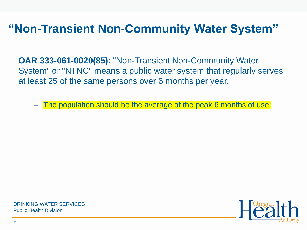#### **"Non-Transient Non-Community Water System"**

**OAR 333-061-0020(85):** "Non-Transient Non-Community Water System" or "NTNC" means a public water system that regularly serves at least 25 of the same persons over 6 months per year.

The population should be the average of the peak 6 months of use.



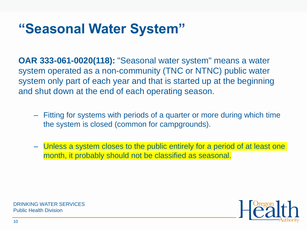#### **"Seasonal Water System"**

**OAR 333-061-0020(118):** "Seasonal water system" means a water system operated as a non-community (TNC or NTNC) public water system only part of each year and that is started up at the beginning and shut down at the end of each operating season.

- Fitting for systems with periods of a quarter or more during which time the system is closed (common for campgrounds).
- Unless a system closes to the public entirely for a period of at least one month, it probably should not be classified as seasonal.



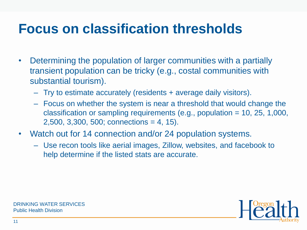#### **Focus on classification thresholds**

- Determining the population of larger communities with a partially transient population can be tricky (e.g., costal communities with substantial tourism).
	- Try to estimate accurately (residents + average daily visitors).
	- Focus on whether the system is near a threshold that would change the classification or sampling requirements (e.g., population = 10, 25, 1,000, 2,500, 3,300, 500; connections = 4, 15).
- Watch out for 14 connection and/or 24 population systems.
	- Use recon tools like aerial images, Zillow, websites, and facebook to help determine if the listed stats are accurate.

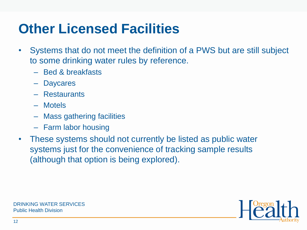### **Other Licensed Facilities**

- Systems that do not meet the definition of a PWS but are still subject to some drinking water rules by reference.
	- Bed & breakfasts
	- Daycares
	- Restaurants
	- Motels
	- Mass gathering facilities
	- Farm labor housing
- These systems should not currently be listed as public water systems just for the convenience of tracking sample results (although that option is being explored).

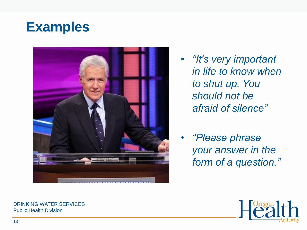#### **Examples**



- *"It's very important in life to know when to shut up. You should not be afraid of silence"*
- *"Please phrase your answer in the form of a question."*

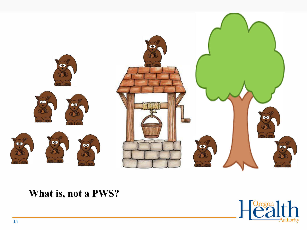

#### **What is, not a PWS?**

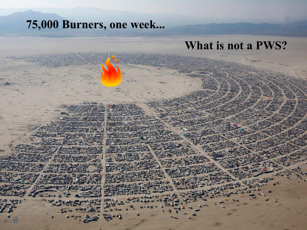#### **75,000 Burners, one week...**

#### **What is not a PWS?**

15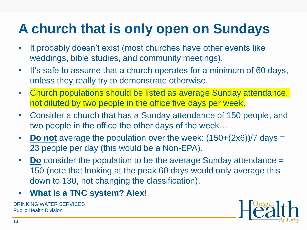# **A church that is only open on Sundays**

- It probably doesn't exist (most churches have other events like weddings, bible studies, and community meetings).
- It's safe to assume that a church operates for a minimum of 60 days, unless they really try to demonstrate otherwise.
- Church populations should be listed as average Sunday attendance, not diluted by two people in the office five days per week.
- Consider a church that has a Sunday attendance of 150 people, and two people in the office the other days of the week…
- **Do not** average the population over the week:  $(150+(2x6))/7$  days = 23 people per day (this would be a Non-EPA).
- **Do** consider the population to be the average Sunday attendance = 150 (note that looking at the peak 60 days would only average this down to 130, not changing the classification).
- **What is a TNC system? Alex!**

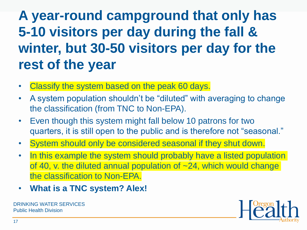# **A year-round campground that only has 5-10 visitors per day during the fall & winter, but 30-50 visitors per day for the rest of the year**

- Classify the system based on the peak 60 days.
- A system population shouldn't be "diluted" with averaging to change the classification (from TNC to Non-EPA).
- Even though this system might fall below 10 patrons for two quarters, it is still open to the public and is therefore not "seasonal."
- System should only be considered seasonal if they shut down.
- In this example the system should probably have a listed population of 40, v. the diluted annual population of ~24, which would change the classification to Non-EPA.
- **What is a TNC system? Alex!**

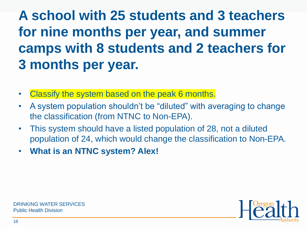# **A school with 25 students and 3 teachers for nine months per year, and summer camps with 8 students and 2 teachers for 3 months per year.**

- Classify the system based on the peak 6 months.
- A system population shouldn't be "diluted" with averaging to change the classification (from NTNC to Non-EPA).
- This system should have a listed population of 28, not a diluted population of 24, which would change the classification to Non-EPA.
- **What is an NTNC system? Alex!**

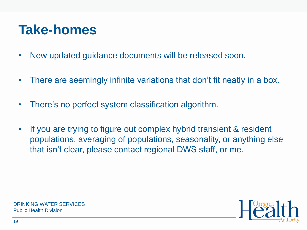### **Take-homes**

- New updated guidance documents will be released soon.
- There are seemingly infinite variations that don't fit neatly in a box.
- There's no perfect system classification algorithm.
- If you are trying to figure out complex hybrid transient & resident populations, averaging of populations, seasonality, or anything else that isn't clear, please contact regional DWS staff, or me.



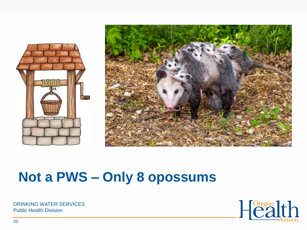



#### **Not a PWS – Only 8 opossums**